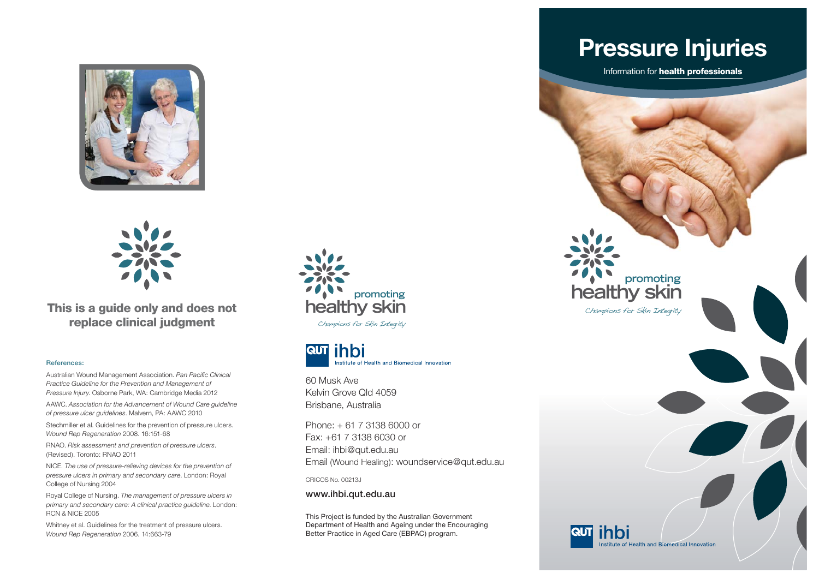



**This is a guide only and does not replace clinical judgment**

#### **References:**

Australian Wound Management Association. *Pan Pacific Clinical Practice Guideline for the Prevention and Management of Pressure Injury*. Osborne Park, WA: Cambridge Media 2012

AAWC. *Association for the Advancement of Wound Care guideline of pressure ulcer guidelines*. Malvern, PA: AAWC 2010

Stechmiller et al. Guidelines for the prevention of pressure ulcers. *Wound Rep Regeneration* 2008. 16:151-68

RNAO. *Risk assessment and prevention of pressure ulcers*. (Revised). Toronto: RNAO 2011

NICE. *The use of pressure-relieving devices for the prevention of pressure ulcers in primary and secondary care*. London: Royal College of Nursing 2004

Royal College of Nursing. *The management of pressure ulcers in primary and secondary care: A clinical practice guideline*. London: RCN & NICE 2005

Whitney et al. Guidelines for the treatment of pressure ulcers. *Wound Rep Regeneration* 2006. 14:663-79



Champions for Skin Integrity



60 Musk Ave Kelvin Grove Qld 4059Brisbane, Australia

Phone: + 61 7 3138 6000 or Fax: +61 7 3138 6030 or Email: ihbi@qut.edu.au Email (Wound Healing): woundservice@qut.edu.au

CRICOS No. 00213J

**www.ihbi.qut.edu.au**

This Project is funded by the Australian Government Department of Health and Ageing under the Encouraging Better Practice in Aged Care (EBPAC) program.

**Pressure Injuries**

Information for **health professionals**

**healthy skin**

**RUT ihbi** 

Champions for Skin Integrity

**promoting**

Institute of Health and Biomedical Innovation